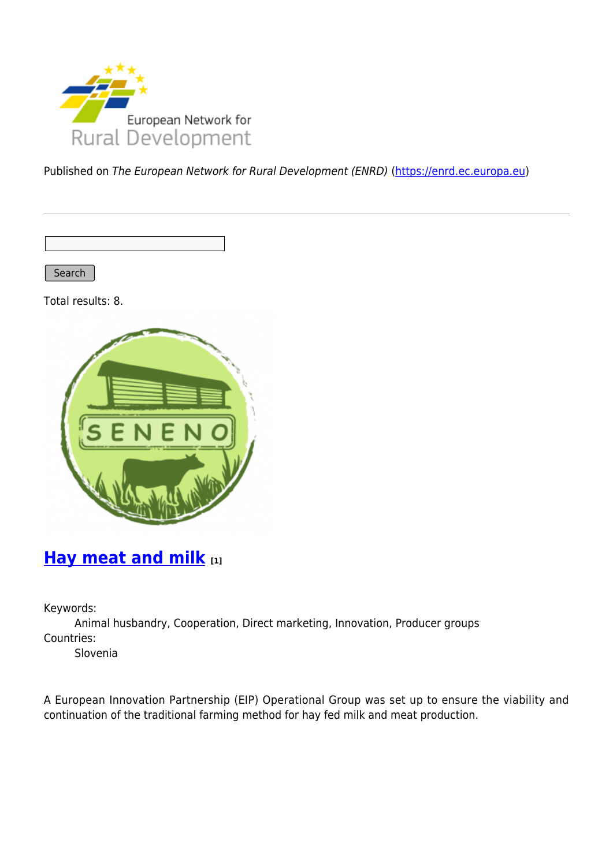

Published on The European Network for Rural Development (ENRD) [\(https://enrd.ec.europa.eu](https://enrd.ec.europa.eu))

Search |

Total results: 8.



## **[Hay meat and milk](https://enrd.ec.europa.eu/projects-practice/hay-meat-and-milk_en) [1]**

Keywords:

Animal husbandry, Cooperation, Direct marketing, Innovation, Producer groups Countries:

Slovenia

A European Innovation Partnership (EIP) Operational Group was set up to ensure the viability and continuation of the traditional farming method for hay fed milk and meat production.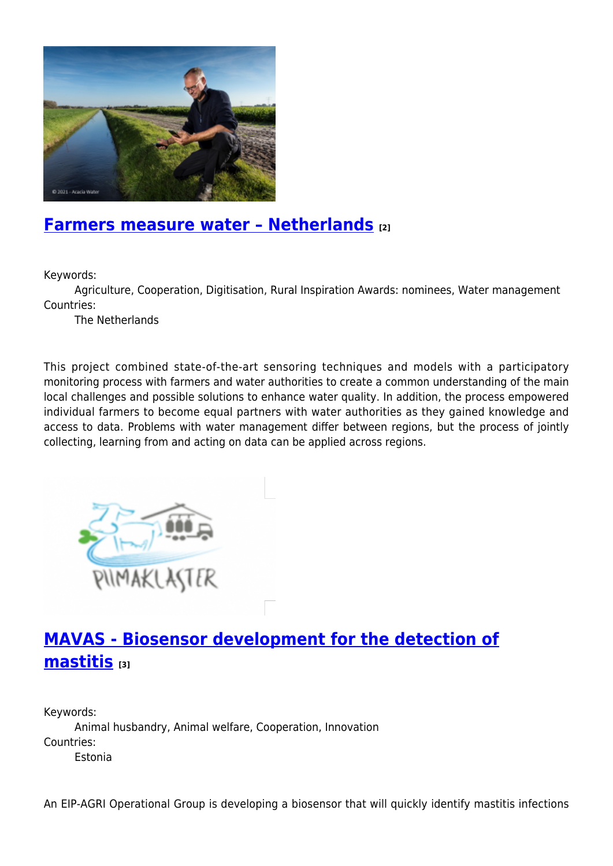

#### **[Farmers measure water – Netherlands](https://enrd.ec.europa.eu/projects-practice/farmers-measure-water-netherlands_en) [2]**

Keywords:

Agriculture, Cooperation, Digitisation, Rural Inspiration Awards: nominees, Water management Countries:

The Netherlands

This project combined state-of-the-art sensoring techniques and models with a participatory monitoring process with farmers and water authorities to create a common understanding of the main local challenges and possible solutions to enhance water quality. In addition, the process empowered individual farmers to become equal partners with water authorities as they gained knowledge and access to data. Problems with water management differ between regions, but the process of jointly collecting, learning from and acting on data can be applied across regions.



# **[MAVAS - Biosensor development for the detection of](https://enrd.ec.europa.eu/projects-practice/mavas-biosensor-development-detection-mastitis_en) [mastitis](https://enrd.ec.europa.eu/projects-practice/mavas-biosensor-development-detection-mastitis_en) [3]**

Keywords: Animal husbandry, Animal welfare, Cooperation, Innovation Countries: Estonia

An EIP-AGRI Operational Group is developing a biosensor that will quickly identify mastitis infections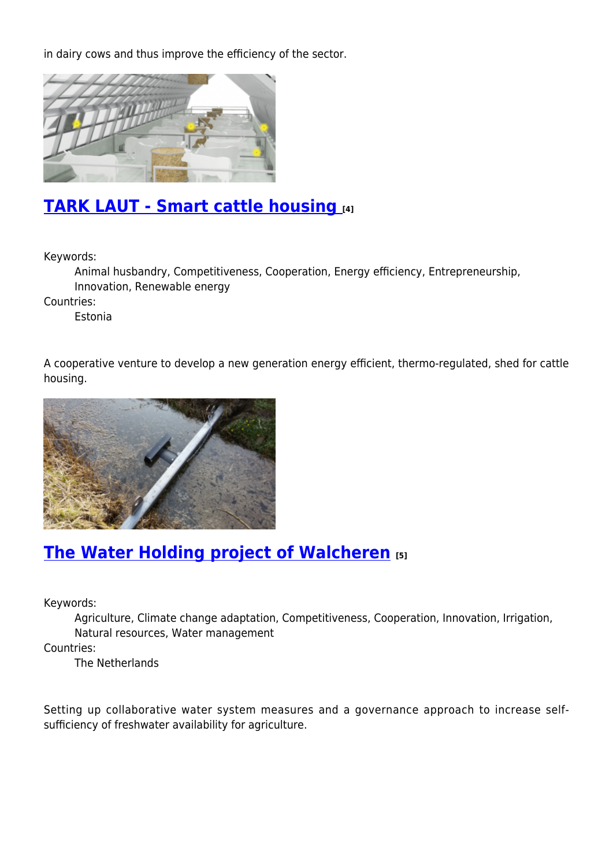in dairy cows and thus improve the efficiency of the sector.



## **[TARK LAUT - Smart cattle housing](https://enrd.ec.europa.eu/projects-practice/tark-laut-smart-cattle-housing_en) [4]**

Keywords:

Animal husbandry, Competitiveness, Cooperation, Energy efficiency, Entrepreneurship, Innovation, Renewable energy

Countries:

Estonia

A cooperative venture to develop a new generation energy efficient, thermo-regulated, shed for cattle housing.



## **[The Water Holding project of Walcheren](https://enrd.ec.europa.eu/projects-practice/water-holding-project-walcheren_en) [5]**

Keywords:

Agriculture, Climate change adaptation, Competitiveness, Cooperation, Innovation, Irrigation, Natural resources, Water management

Countries:

The Netherlands

Setting up collaborative water system measures and a governance approach to increase selfsufficiency of freshwater availability for agriculture.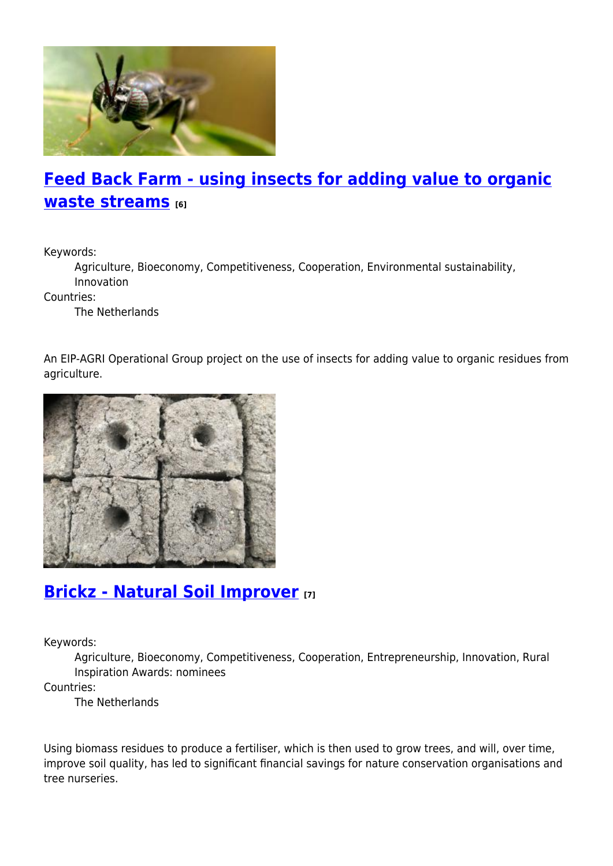

# **[Feed Back Farm - using insects for adding value to organic](https://enrd.ec.europa.eu/projects-practice/feed-back-farm-using-insects-adding-value-organic-waste-streams_en) [waste streams](https://enrd.ec.europa.eu/projects-practice/feed-back-farm-using-insects-adding-value-organic-waste-streams_en) [6]**

Keywords:

Agriculture, Bioeconomy, Competitiveness, Cooperation, Environmental sustainability, Innovation

Countries:

The Netherlands

An EIP-AGRI Operational Group project on the use of insects for adding value to organic residues from agriculture.



## **[Brickz - Natural Soil Improver](https://enrd.ec.europa.eu/projects-practice/brickz-natural-soil-improver_en) [7]**

Keywords:

Agriculture, Bioeconomy, Competitiveness, Cooperation, Entrepreneurship, Innovation, Rural Inspiration Awards: nominees

Countries:

The Netherlands

Using biomass residues to produce a fertiliser, which is then used to grow trees, and will, over time, improve soil quality, has led to significant financial savings for nature conservation organisations and tree nurseries.